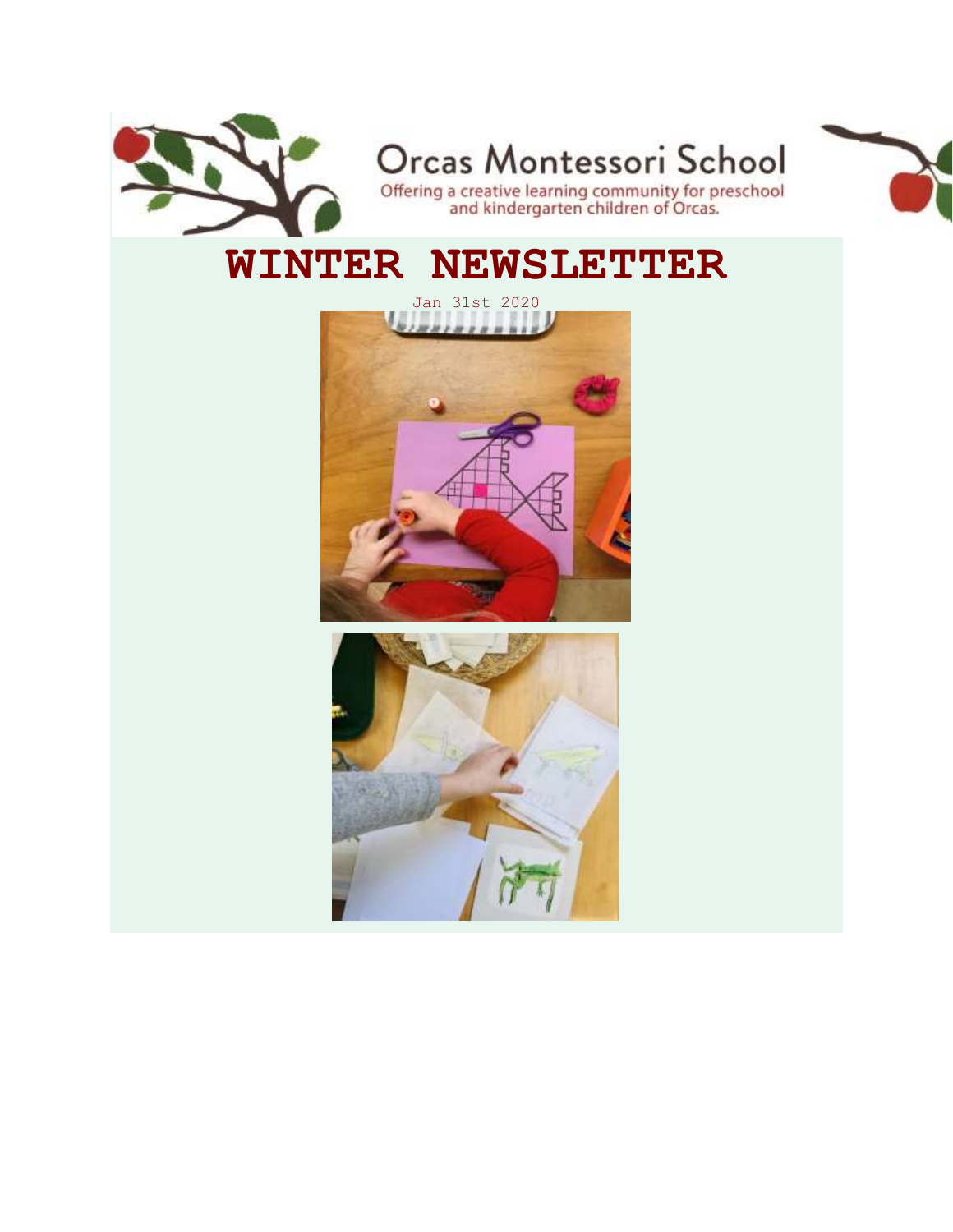

## **WINTER NEWSLETTER**



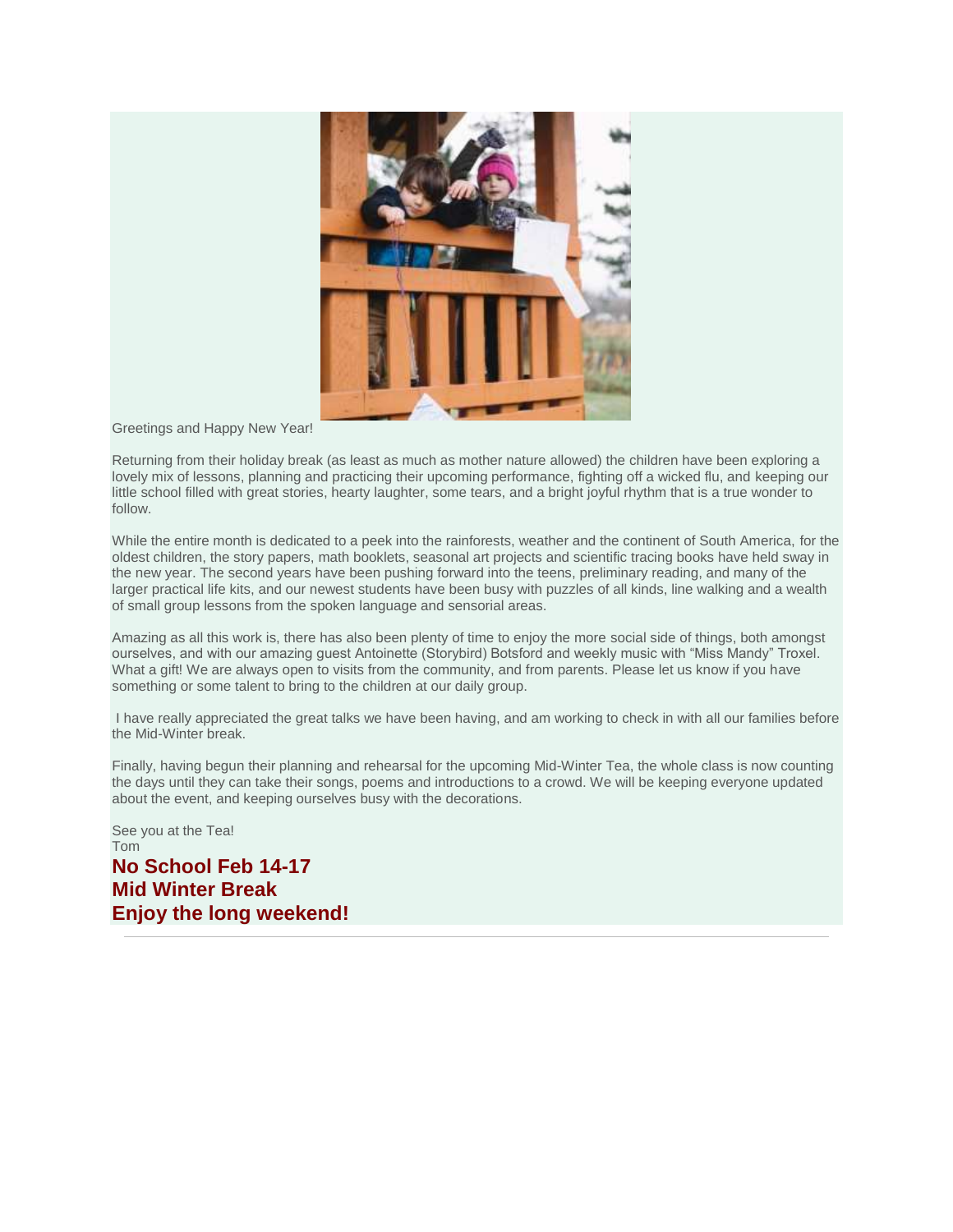

Greetings and Happy New Year!

Returning from their holiday break (as least as much as mother nature allowed) the children have been exploring a lovely mix of lessons, planning and practicing their upcoming performance, fighting off a wicked flu, and keeping our little school filled with great stories, hearty laughter, some tears, and a bright joyful rhythm that is a true wonder to follow.

While the entire month is dedicated to a peek into the rainforests, weather and the continent of South America, for the oldest children, the story papers, math booklets, seasonal art projects and scientific tracing books have held sway in the new year. The second years have been pushing forward into the teens, preliminary reading, and many of the larger practical life kits, and our newest students have been busy with puzzles of all kinds, line walking and a wealth of small group lessons from the spoken language and sensorial areas.

Amazing as all this work is, there has also been plenty of time to enjoy the more social side of things, both amongst ourselves, and with our amazing guest Antoinette (Storybird) Botsford and weekly music with "Miss Mandy" Troxel. What a gift! We are always open to visits from the community, and from parents. Please let us know if you have something or some talent to bring to the children at our daily group.

I have really appreciated the great talks we have been having, and am working to check in with all our families before the Mid-Winter break.

Finally, having begun their planning and rehearsal for the upcoming Mid-Winter Tea, the whole class is now counting the days until they can take their songs, poems and introductions to a crowd. We will be keeping everyone updated about the event, and keeping ourselves busy with the decorations.

See you at the Tea! Tom **No School Feb 14-17 Mid Winter Break Enjoy the long weekend!**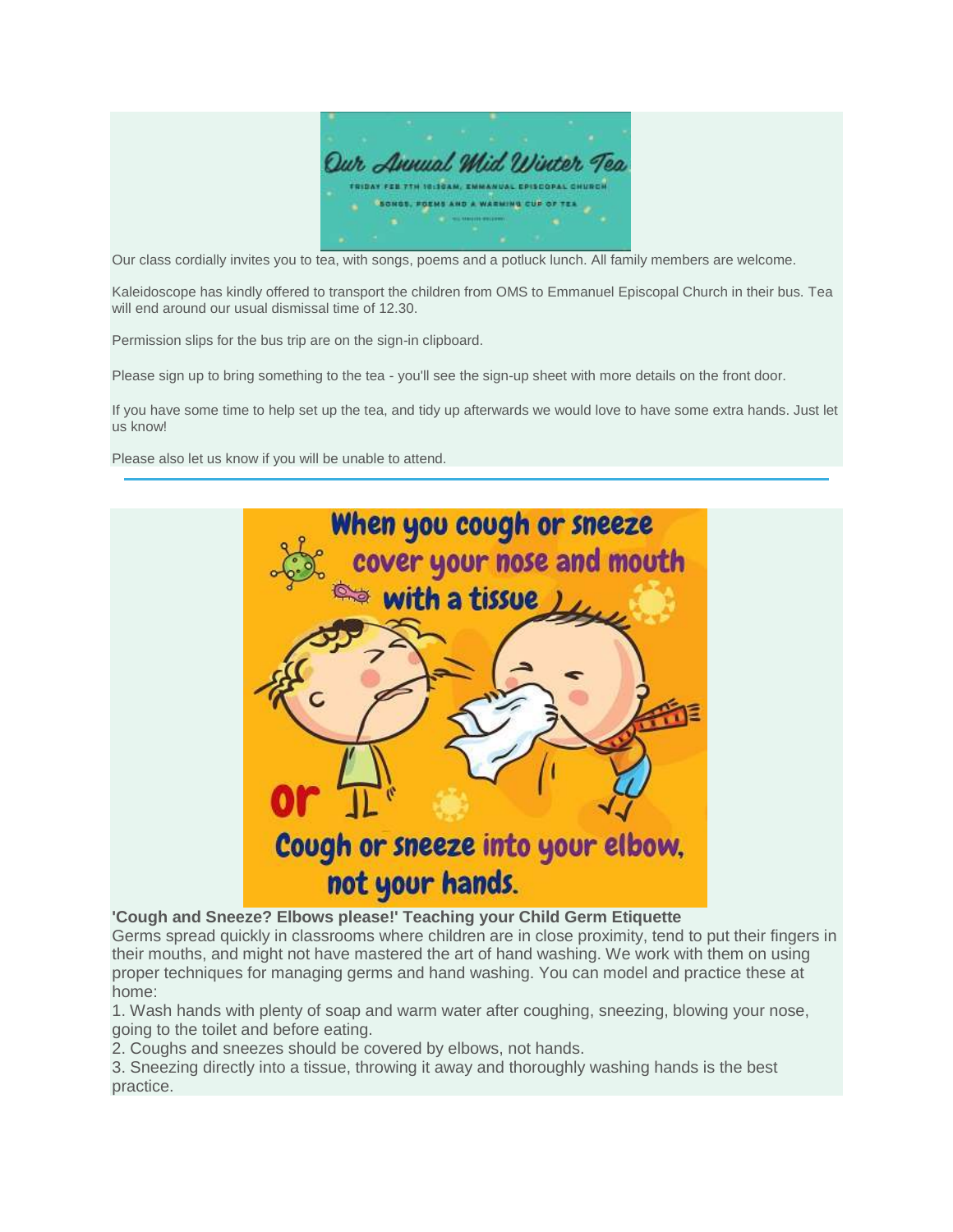

Our class cordially invites you to tea, with songs, poems and a potluck lunch. All family members are welcome.

Kaleidoscope has kindly offered to transport the children from OMS to Emmanuel Episcopal Church in their bus. Tea will end around our usual dismissal time of 12.30.

Permission slips for the bus trip are on the sign-in clipboard.

Please sign up to bring something to the tea - you'll see the sign-up sheet with more details on the front door.

If you have some time to help set up the tea, and tidy up afterwards we would love to have some extra hands. Just let us know!

Please also let us know if you will be unable to attend.



**'Cough and Sneeze? Elbows please!' Teaching your Child Germ Etiquette**

Germs spread quickly in classrooms where children are in close proximity, tend to put their fingers in their mouths, and might not have mastered the art of hand washing. We work with them on using proper techniques for managing germs and hand washing. You can model and practice these at home:

1. Wash hands with plenty of soap and warm water after coughing, sneezing, blowing your nose, going to the toilet and before eating.

2. Coughs and sneezes should be covered by elbows, not hands.

3. Sneezing directly into a tissue, throwing it away and thoroughly washing hands is the best practice.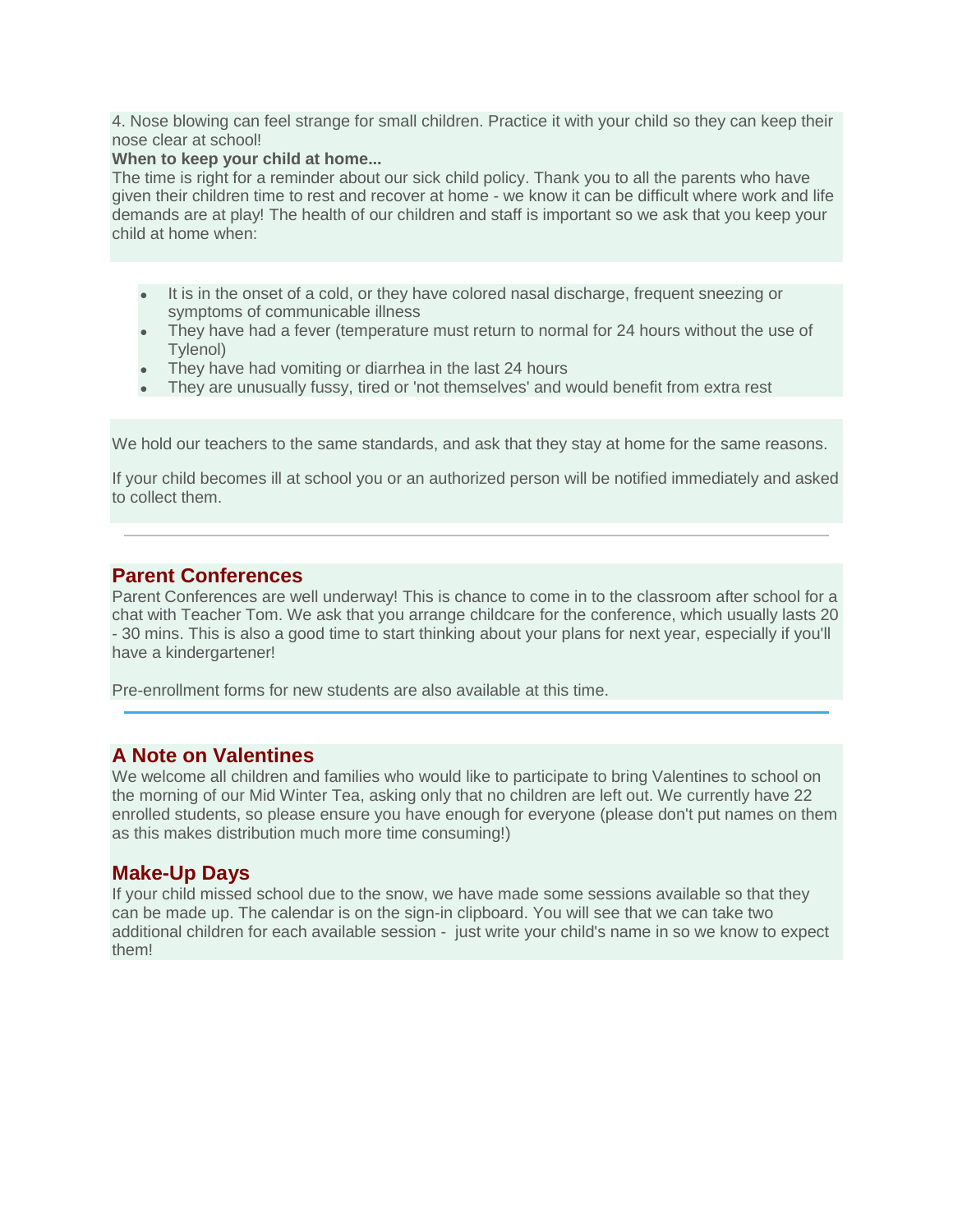4. Nose blowing can feel strange for small children. Practice it with your child so they can keep their nose clear at school!

#### **When to keep your child at home...**

The time is right for a reminder about our sick child policy. Thank you to all the parents who have given their children time to rest and recover at home - we know it can be difficult where work and life demands are at play! The health of our children and staff is important so we ask that you keep your child at home when:

- It is in the onset of a cold, or they have colored nasal discharge, frequent sneezing or symptoms of communicable illness
- They have had a fever (temperature must return to normal for 24 hours without the use of Tylenol)
- They have had vomiting or diarrhea in the last 24 hours
- They are unusually fussy, tired or 'not themselves' and would benefit from extra rest

We hold our teachers to the same standards, and ask that they stay at home for the same reasons.

If your child becomes ill at school you or an authorized person will be notified immediately and asked to collect them.

### **Parent Conferences**

Parent Conferences are well underway! This is chance to come in to the classroom after school for a chat with Teacher Tom. We ask that you arrange childcare for the conference, which usually lasts 20 - 30 mins. This is also a good time to start thinking about your plans for next year, especially if you'll have a kindergartener!

Pre-enrollment forms for new students are also available at this time.

## **A Note on Valentines**

We welcome all children and families who would like to participate to bring Valentines to school on the morning of our Mid Winter Tea, asking only that no children are left out. We currently have 22 enrolled students, so please ensure you have enough for everyone (please don't put names on them as this makes distribution much more time consuming!)

## **Make-Up Days**

If your child missed school due to the snow, we have made some sessions available so that they can be made up. The calendar is on the sign-in clipboard. You will see that we can take two additional children for each available session - just write your child's name in so we know to expect them!